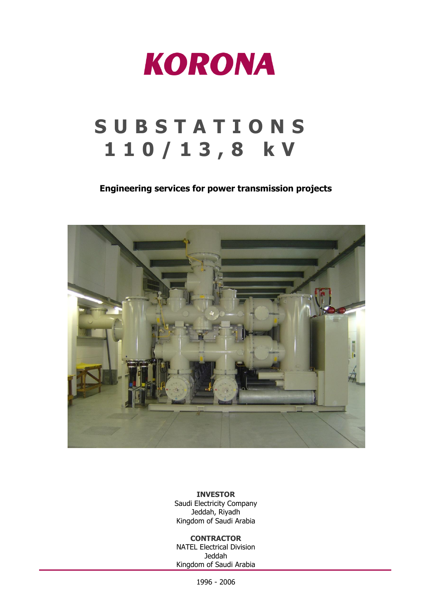

## **S U B S T A T I O N S 1 1 0 / 1 3 , 8 k V**

## **Engineering services for power transmission projects**



**INVESTOR** Saudi Electricity Company Jeddah, Riyadh Kingdom of Saudi Arabia

## **CONTRACTOR**

NATEL Electrical Division Jeddah Kingdom of Saudi Arabia

1996 - 2006